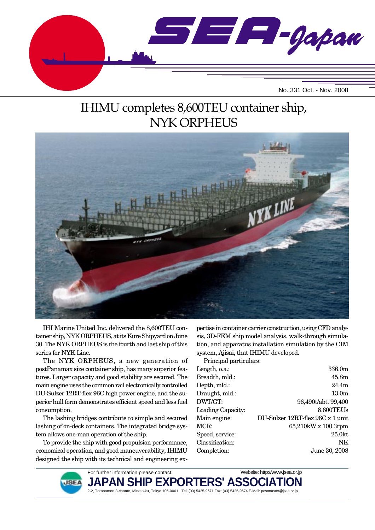

# IHIMU completes 8,600TEU container ship, NYK ORPHEUS



IHI Marine United Inc. delivered the 8,600TEU container ship, NYK ORPHEUS, at its Kure Shipyard on June 30. The NYK ORPHEUS is the fourth and last ship of this series for NYK Line.

The NYK ORPHEUS, a new generation of postPanamax size container ship, has many superior features. Larger capacity and good stability are secured. The main engine uses the common rail electronically controlled DU-Sulzer 12RT-flex 96C high power engine, and the superior hull form demonstrates efficient speed and less fuel consumption.

The lashing bridges contribute to simple and secured lashing of on-deck containers. The integrated bridge system allows one-man operation of the ship.

To provide the ship with good propulsion performance, economical operation, and good maneuverability, IHIMU designed the ship with its technical and engineering expertise in container carrier construction, using CFD analysis, 3D-FEM ship model analysis, walk-through simulation, and apparatus installation simulation by the CIM system, Ajisai, that IHIMU developed.

Principal particulars:

| Length, o.a.:     | 336.0m                           |
|-------------------|----------------------------------|
| Breadth, mld.:    | 45.8m                            |
| Depth, mld.:      | 24.4m                            |
| Draught, mld.:    | 13.0 <sub>m</sub>                |
| DWT/GT:           | 96,490t/abt. 99,400              |
| Loading Capacity: | 8,600TEUs                        |
| Main engine:      | DU-Sulzer 12RT-flex 96C x 1 unit |
| MCR:              | 65,210kW x 100.3rpm              |
| Speed, service:   | $25.0$ kt                        |
| Classification:   | NΚ                               |
| Completion:       | June 30, 2008                    |
|                   |                                  |



For further information please contact: JAPAN SHIP EXPORTERS' ASSC 2-2, Toranomon 3-chome, Minato-ku, Tokyo 105-0001 Tel: (03) 5425-9671 Fax: (03) 5425-9674 E-Mail: postmaster@jsea.or.jp Website: http://www.jsea.or.jp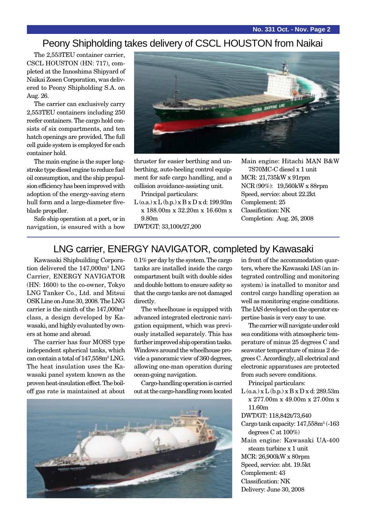#### Peony Shipholding takes delivery of CSCL HOUSTON from Naikai

The 2,553TEU container carrier, CSCL HOUSTON (HN: 717), completed at the Innoshima Shipyard of Naikai Zosen Corporation, was delivered to Peony Shipholding S.A. on Aug. 26.

The carrier can exclusively carry 2,553TEU containers including 250 reefer containers. The cargo hold consists of six compartments, and ten hatch openings are provided. The full cell guide system is employed for each container hold.

The main engine is the super longstroke type diesel engine to reduce fuel oil consumption, and the ship propulsion efficiency has been improved with adoption of the energy-saving stern hull form and a large-diameter fiveblade propeller.

Safe ship operation at a port, or in navigation, is ensured with a bow



thruster for easier berthing and unberthing, auto-heeling control equipment for safe cargo handling, and a collision avoidance-assisting unit.

Principal particulars:

 $L$  (o.a.) x  $L$  (b.p.) x  $B$  x  $D$  x d: 199.93m x 188.00m x 32.20m x 16.60m x 9.80m

DWT/GT: 33,100t/27,200

Main engine: Hitachi MAN B&W 7S70MC-C diesel x 1 unit MCR: 21,735kW x 91rpm NCR (90%): 19,560kW x 88rpm Speed, service: about 22.2kt Complement: 25 Classification: NK Completion: Aug. 26, 2008

### LNG carrier, ENERGY NAVIGATOR, completed by Kawasaki

Kawasaki Shipbuilding Corporation delivered the 147,000m<sup>3</sup> LNG Carrier, ENERGY NAVIGATOR (HN: 1600) to the co-owner, Tokyo LNG Tanker Co., Ltd. and Mitsui OSK Line on June 30, 2008. The LNG carrier is the ninth of the 147,000m<sup>3</sup> class, a design developed by Kawasaki, and highly evaluated by owners at home and abroad.

The carrier has four MOSS type independent spherical tanks, which can contain a total of  $147,\!558\mathrm{m^3}$  LNG. The heat insulation uses the Kawasaki panel system known as the proven heat-insulation effect. The boiloff gas rate is maintained at about 0.1% per day by the system. The cargo tanks are installed inside the cargo compartment built with double sides and double bottom to ensure safety so that the cargo tanks are not damaged directly.

The wheelhouse is equipped with advanced integrated electronic navigation equipment, which was previously installed separately. This has further improved ship operation tasks. Windows around the wheelhouse provide a panoramic view of 360 degrees, allowing one-man operation during ocean-going navigation.

Cargo-handling operation is carried out at the cargo-handling room located



in front of the accommodation quarters, where the Kawasaki IAS (an integrated controlling and monitoring system) is installed to monitor and control cargo handling operation as well as monitoring engine conditions. The IAS developed on the operator expertise basis is very easy to use.

The carrier will navigate under cold sea conditions with atmospheric temperature of minus 25 degrees C and seawater temperature of minus 2 degrees C. Accordingly, all electrical and electronic apparatuses are protected from such severe conditions.

Principal particulars:

- $L$  (o.a.) x  $L$  (b.p.) x  $B$  x  $D$  x d: 289.53m x 277.00m x 49.00m x 27.00m x 11.60m
- DWT/GT: 118,842t/73,640
- Cargo tank capacity:  $147,558$ m<sup>3</sup> (-163) degrees C at 100%)
- Main engine: Kawasaki UA-400 steam turbine x 1 unit MCR: 26,900kW x 80rpm Speed, service: abt. 19.5kt Complement: 43
- Classification: NK
- Delivery: June 30, 2008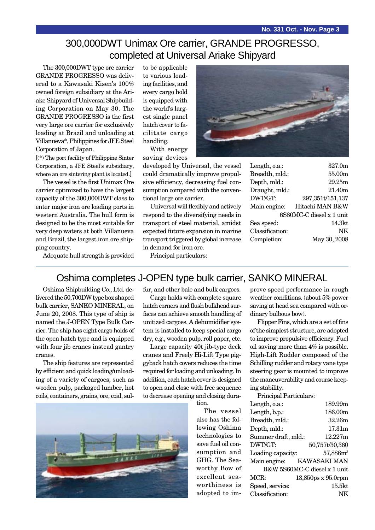## 300,000DWT Unimax Ore carrier, GRANDE PROGRESSO, completed at Universal Ariake Shipyard

The 300,000DWT type ore carrier GRANDE PROGRESSO was delivered to a Kawasaki Kisen's 100% owned foreign subsidiary at the Ariake Shipyard of Universal Shipbuilding Corporation on May 30. The GRANDE PROGRESSO is the first very large ore carrier for exclusively loading at Brazil and unloading at Villanueva\*, Philippines for JFE Steel Corporation of Japan.

[(\*) The port facility of Philippine Sinter Corporation, a JFE Steel's subsidiary, where an ore sintering plant is located.]

The vessel is the first Unimax Ore carrier optimized to have the largest capacity of the 300,000DWT class to enter major iron ore loading ports in western Australia. The hull form is designed to be the most suitable for very deep waters at both Villanueva and Brazil, the largest iron ore shipping country.

to be applicable to various loading facilities, and every cargo hold is equipped with the world's largest single panel hatch cover to facilitate cargo handling.

With energy saving devices

developed by Universal, the vessel could dramatically improve propulsive efficiency, decreasing fuel consumption compared with the conventional large ore carrier.

Universal will flexibly and actively respond to the diversifying needs in transport of steel material, amidst expected future expansion in marine transport triggered by global increase in demand for iron ore.

| Length, o.a.:            | 327.0m             |  |
|--------------------------|--------------------|--|
| Breadth, mld.:           | 55.00m             |  |
| Depth, mld.:             | 29.25m             |  |
| Draught, mld.:           | 21.40m             |  |
| DWT/GT:                  | 297,351t/151,137   |  |
| Main engine:             | Hitachi MAN B&W    |  |
| 6S80MC-C diesel x 1 unit |                    |  |
| Sea speed:               | 14.3 <sub>kt</sub> |  |
| Classification:          | NK                 |  |
| Completion:              | May 30, 2008       |  |
|                          |                    |  |

Adequate hull strength is provided

Principal particulars:

#### Oshima completes J-OPEN type bulk carrier, SANKO MINERAL

Oshima Shipbuilding Co., Ltd. delivered the 50,700DW type box shaped bulk carrier, SANKO MINERAL, on June 20, 2008. This type of ship is named the J-OPEN Type Bulk Carrier. The ship has eight cargo holds of the open hatch type and is equipped with four jib cranes instead gantry cranes.

The ship features are represented by efficient and quick loading/unloading of a variety of cargoes, such as wooden pulp, packaged lumber, hot coils, containers, grains, ore, coal, sulfur, and other bale and bulk cargoes.

Cargo holds with complete square hatch corners and flush bulkhead surfaces can achieve smooth handling of unitized cargoes. A dehumidifier system is installed to keep special cargo dry, e.g., wooden pulp, roll paper, etc.

Large capacity 40t jib-type deck cranes and Freely Hi-Lift Type piggyback hatch covers reduces the time required for loading and unloading. In addition, each hatch cover is designed to open and close with free sequence to decrease opening and closing dura-

tion.

The vessel also has the following Oshima technologies to save fuel oil consumption and GHG. The Seaworthy Bow of excellent seaworthiness is adopted to improve speed performance in rough weather conditions. (about 5% power saving at head sea compared with ordinary bulbous bow).

Flipper Fins, which are a set of fins of the simplest structure, are adopted to improve propulsive efficiency. Fuel oil saving more than 4% is possible. High-Lift Rudder composed of the Schilling rudder and rotary vane type steering gear is mounted to improve the maneuverability and course keeping stability.

Principal Particulars: Length, o.a.: 189.99m Length, b.p.: 186.00m Breadth, mld.: 32.26m Depth, mld.: 17.31m Summer draft, mld.: 12.227m DWT/GT: 50,757t/30,360 Loading capacity: 57,886m<sup>3</sup> Main engine: KAWASAKI MAN B&W 5S60MC-C diesel x 1 unit MCR: 13,850ps x 95.0rpm Speed, service: 15.5kt Classification: NK

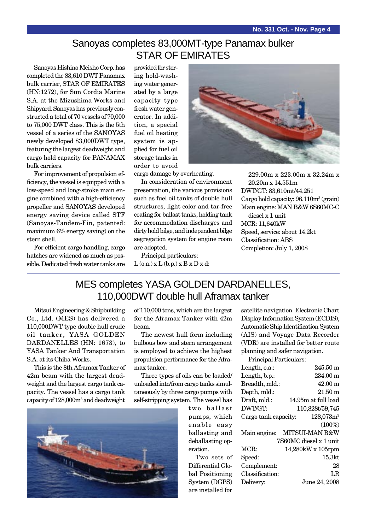## Sanoyas completes 83,000MT-type Panamax bulker STAR OF EMIRATES

Sanoyas Hishino Meisho Corp. has completed the 83,610 DWT Panamax bulk carrier, STAR OF EMIRATES (HN:1272), for Sun Cordia Marine S.A. at the Mizushima Works and Shipyard. Sanoyas has previously constructed a total of 70 vessels of 70,000 to 75,000 DWT class. This is the 5th vessel of a series of the SANOYAS newly developed 83,000DWT type, featuring the largest deadweight and cargo hold capacity for PANAMAX bulk carriers.

For improvement of propulsion efficiency, the vessel is equipped with a low-speed and long-stroke main engine combined with a high-efficiency propeller and SANOYAS developed energy saving device called STF (Sanoyas-Tandem-Fin, patented: maximum 6% energy saving) on the stern shell.

For efficient cargo handling, cargo hatches are widened as much as possible. Dedicated fresh water tanks are

provided for storing hold-washing water generated by a large capacity type fresh water generator. In addition, a special fuel oil heating system is applied for fuel oil storage tanks in order to avoid



cargo damage by overheating.

In consideration of environment preservation, the various provisions such as fuel oil tanks of double hull structures, light color and tar-free coating for ballast tanks, holding tank for accommodation discharges and dirty hold bilge, and independent bilge segregation system for engine room are adopted.

Principal particulars:  $L$  (o.a.)  $x L$  (b.p.)  $x B x D x d$ :

229.00m x 223.00m x 32.24m x 20.20m x 14.551m DWT/GT: 83,610mt/44,251 Cargo hold capacity:  $96,110m^3$  (grain) Main engine: MAN B&W 6S60MC-C diesel x 1 unit MCR: 11,640kW Speed, service: about 14.2kt Classification: ABS Completion: July 1, 2008

## MES completes YASA GOLDEN DARDANELLES, 110,000DWT double hull Aframax tanker

Mitsui Engineering & Shipbuilding Co., Ltd. (MES) has delivered a 110,000DWT type double hull crude oil tanker, YASA GOLDEN DARDANELLES (HN: 1673), to YASA Tanker And Transportation S.A. at its Chiba Works.

This is the 8th Aframax Tanker of 42m beam with the largest deadweight and the largest cargo tank capacity. The vessel has a cargo tank capacity of 128,000m3 and deadweight

of 110,000 tons, which are the largest for the Aframax Tanker with 42m beam.

The newest hull form including bulbous bow and stern arrangement is employed to achieve the highest propulsion performance for the Aframax tanker.

Three types of oils can be loaded/ unloaded into/from cargo tanks simultaneously by three cargo pumps with self-stripping system. The vessel has



two ballast pumps, which enable easy ballasting and deballasting operation.

Two sets of Differential Global Positioning System (DGPS) are installed for

satellite navigation. Electronic Chart Display Information System (ECDIS), Automatic Ship Identification System (AIS) and Voyage Data Recorder (VDR) are installed for better route planning and safer navigation.

Principal Particulars:

| Length, o.a.:        | 245.50 m               |
|----------------------|------------------------|
| Length, b.p.:        | 234.00 m               |
| Breadth, mld.:       | $42.00 \text{ m}$      |
| Depth, mld.:         | $21.50 \text{ m}$      |
| Draft, mld.:         | 14.95m at full load    |
| DWT/GT:              | 110,828t/59,745        |
| Cargo tank capacity: | 128,073m <sup>3</sup>  |
|                      | $(100\%)$              |
| Main engine:         | MITSUI-MAN B&W         |
|                      | 7S60MC diesel x 1 unit |
| MCR:                 | 14,280kW x 105rpm      |
| Speed:               | 15.3 <sub>kt</sub>     |
| Complement:          | 28                     |
| Classification:      | LR                     |
| Delivery:            | June 24, 2008          |
|                      |                        |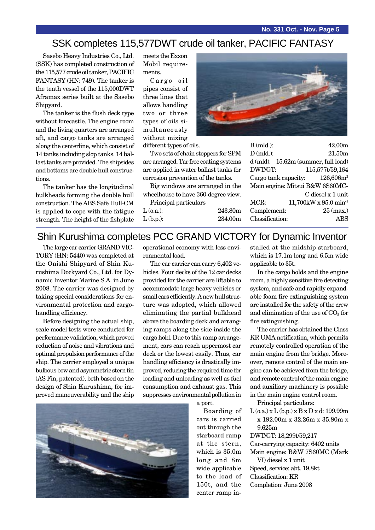#### SSK completes 115,577DWT crude oil tanker, PACIFIC FANTASY

Sasebo Heavy Industries Co., Ltd. (SSK) has completed construction of the 115,577 crude oil tanker, PACIFIC FANTASY (HN: 749). The tanker is the tenth vessel of the 115,000DWT Aframax series built at the Sasebo Shipyard.

The tanker is the flush deck type without forecastle. The engine room and the living quarters are arranged aft, and cargo tanks are arranged along the centerline, which consist of 14 tanks including slop tanks. 14 ballast tanks are provided. The shipsides and bottoms are double hull constructions.

The tanker has the longitudinal bulkheads forming the double hull construction. The ABS Safe Hull-CM is applied to cope with the fatigue strength. The height of the fishplate

meets the Exxon Mobil requirements.

Cargo oil pipes consist of three lines that allows handling two or three types of oils simultaneously without mixing

different types of oils.

Two sets of chain stoppers for SPM are arranged. Tar free coating systems are applied in water ballast tanks for corrosion prevention of the tanks.

Big windows are arranged in the wheelhouse to have 360-degree view.

Principal particulars

L (o.a.): 243.80m

L (b.p.): 234.00m



| $B$ (mld.):     | 42.00m                                  |
|-----------------|-----------------------------------------|
| $D$ (mld.):     | 21.50m                                  |
|                 | $d$ (mld): $15.62m$ (summer, full load) |
| DWT/GT:         | 115,577t/59,164                         |
|                 | Cargo tank capacity: $126,606m^3$       |
|                 | Main engine: Mitsui B&W 6S60MC-         |
|                 | C diesel x 1 unit                       |
| MCR:            | $11,700$ kW x 95.0 min <sup>-1</sup>    |
| Complement:     | $25$ (max.)                             |
| Classification: |                                         |

#### Shin Kurushima completes PCC GRAND VICTORY for Dynamic Inventor

The large car carrier GRAND VIC-TORY (HN: 5440) was completed at the Onishi Shipyard of Shin Kurushima Dockyard Co., Ltd. for Dynamic Inventor Marine S.A. in June 2008. The carrier was designed by taking special considerations for environmental protection and cargohandling efficiency.

Before designing the actual ship, scale model tests were conducted for performance validation, which proved reduction of noise and vibrations and optimal propulsion performance of the ship. The carrier employed a unique bulbous bow and asymmetric stern fin (AS Fin, patented), both based on the design of Shin Kurushima, for improved maneuverability and the ship

operational economy with less environmental load.

The car carrier can carry 6,402 vehicles. Four decks of the 12 car decks provided for the carrier are liftable to accommodate large heavy vehicles or small cars efficiently. A new hull structure was adopted, which allowed eliminating the partial bulkhead above the boarding deck and arranging ramps along the side inside the cargo hold. Due to this ramp arrangement, cars can reach uppermost car deck or the lowest easily. Thus, car handling efficiency is drastically improved, reducing the required time for loading and unloading as well as fuel consumption and exhaust gas. This suppresses environmental pollution in

a port.

Boarding of cars is carried out through the starboard ramp at the stern, which is 35.0m long and 8m wide applicable to the load of 150t, and the center ramp installed at the midship starboard, which is 17.1m long and 6.5m wide applicable to 35t.

In the cargo holds and the engine room, a highly sensitive fire detecting system, and safe and rapidly expandable foam fire extinguishing system are installed for the safety of the crew and elimination of the use of  $CO<sub>2</sub>$  for fire extinguishing.

The carrier has obtained the Class KR UMA notification, which permits remotely controlled operation of the main engine from the bridge. Moreover, remote control of the main engine can be achieved from the bridge, and remote control of the main engine and auxiliary machinery is possible in the main engine control room.

Principal particulars:

 $L$  (o.a.) x  $L$  (b.p.) x  $B$  x  $D$  x d: 199.99m x 192.00m x 32.26m x 35.80m x 9.625m

DWT/GT: 18,299t/59,217

Car-carrying capacity: 6402 units Main engine: B&W 7S60MC (Mark VI) diesel x 1 unit Speed, service: abt. 19.8kt

- Classification: KR
- Completion: June 2008